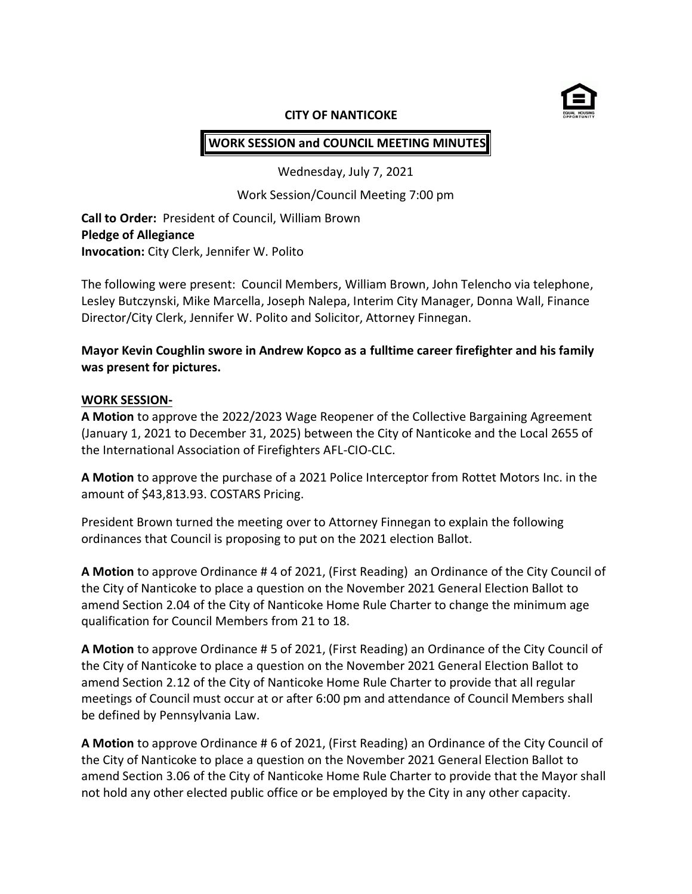

#### **CITY OF NANTICOKE**

# **WORK SESSION and COUNCIL MEETING MINUTES**

Wednesday, July 7, 2021

Work Session/Council Meeting 7:00 pm

**Call to Order:** President of Council, William Brown **Pledge of Allegiance Invocation:** City Clerk, Jennifer W. Polito

The following were present: Council Members, William Brown, John Telencho via telephone, Lesley Butczynski, Mike Marcella, Joseph Nalepa, Interim City Manager, Donna Wall, Finance Director/City Clerk, Jennifer W. Polito and Solicitor, Attorney Finnegan.

# **Mayor Kevin Coughlin swore in Andrew Kopco as a fulltime career firefighter and his family was present for pictures.**

#### **WORK SESSION-**

**A Motion** to approve the 2022/2023 Wage Reopener of the Collective Bargaining Agreement (January 1, 2021 to December 31, 2025) between the City of Nanticoke and the Local 2655 of the International Association of Firefighters AFL-CIO-CLC.

**A Motion** to approve the purchase of a 2021 Police Interceptor from Rottet Motors Inc. in the amount of \$43,813.93. COSTARS Pricing.

President Brown turned the meeting over to Attorney Finnegan to explain the following ordinances that Council is proposing to put on the 2021 election Ballot.

**A Motion** to approve Ordinance # 4 of 2021, (First Reading) an Ordinance of the City Council of the City of Nanticoke to place a question on the November 2021 General Election Ballot to amend Section 2.04 of the City of Nanticoke Home Rule Charter to change the minimum age qualification for Council Members from 21 to 18.

**A Motion** to approve Ordinance # 5 of 2021, (First Reading) an Ordinance of the City Council of the City of Nanticoke to place a question on the November 2021 General Election Ballot to amend Section 2.12 of the City of Nanticoke Home Rule Charter to provide that all regular meetings of Council must occur at or after 6:00 pm and attendance of Council Members shall be defined by Pennsylvania Law.

**A Motion** to approve Ordinance # 6 of 2021, (First Reading) an Ordinance of the City Council of the City of Nanticoke to place a question on the November 2021 General Election Ballot to amend Section 3.06 of the City of Nanticoke Home Rule Charter to provide that the Mayor shall not hold any other elected public office or be employed by the City in any other capacity.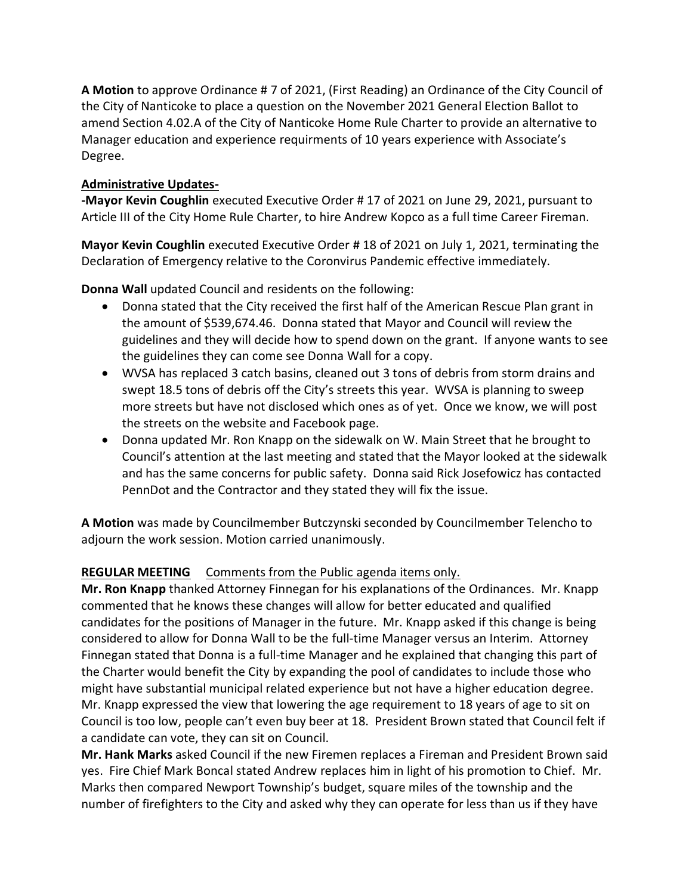**A Motion** to approve Ordinance # 7 of 2021, (First Reading) an Ordinance of the City Council of the City of Nanticoke to place a question on the November 2021 General Election Ballot to amend Section 4.02.A of the City of Nanticoke Home Rule Charter to provide an alternative to Manager education and experience requirments of 10 years experience with Associate's Degree.

# **Administrative Updates-**

**-Mayor Kevin Coughlin** executed Executive Order # 17 of 2021 on June 29, 2021, pursuant to Article III of the City Home Rule Charter, to hire Andrew Kopco as a full time Career Fireman.

**Mayor Kevin Coughlin** executed Executive Order # 18 of 2021 on July 1, 2021, terminating the Declaration of Emergency relative to the Coronvirus Pandemic effective immediately.

**Donna Wall** updated Council and residents on the following:

- Donna stated that the City received the first half of the American Rescue Plan grant in the amount of \$539,674.46. Donna stated that Mayor and Council will review the guidelines and they will decide how to spend down on the grant. If anyone wants to see the guidelines they can come see Donna Wall for a copy.
- WVSA has replaced 3 catch basins, cleaned out 3 tons of debris from storm drains and swept 18.5 tons of debris off the City's streets this year. WVSA is planning to sweep more streets but have not disclosed which ones as of yet. Once we know, we will post the streets on the website and Facebook page.
- Donna updated Mr. Ron Knapp on the sidewalk on W. Main Street that he brought to Council's attention at the last meeting and stated that the Mayor looked at the sidewalk and has the same concerns for public safety. Donna said Rick Josefowicz has contacted PennDot and the Contractor and they stated they will fix the issue.

**A Motion** was made by Councilmember Butczynski seconded by Councilmember Telencho to adjourn the work session. Motion carried unanimously.

# **REGULAR MEETING** Comments from the Public agenda items only.

**Mr. Ron Knapp** thanked Attorney Finnegan for his explanations of the Ordinances. Mr. Knapp commented that he knows these changes will allow for better educated and qualified candidates for the positions of Manager in the future. Mr. Knapp asked if this change is being considered to allow for Donna Wall to be the full-time Manager versus an Interim. Attorney Finnegan stated that Donna is a full-time Manager and he explained that changing this part of the Charter would benefit the City by expanding the pool of candidates to include those who might have substantial municipal related experience but not have a higher education degree. Mr. Knapp expressed the view that lowering the age requirement to 18 years of age to sit on Council is too low, people can't even buy beer at 18. President Brown stated that Council felt if a candidate can vote, they can sit on Council.

**Mr. Hank Marks** asked Council if the new Firemen replaces a Fireman and President Brown said yes. Fire Chief Mark Boncal stated Andrew replaces him in light of his promotion to Chief. Mr. Marks then compared Newport Township's budget, square miles of the township and the number of firefighters to the City and asked why they can operate for less than us if they have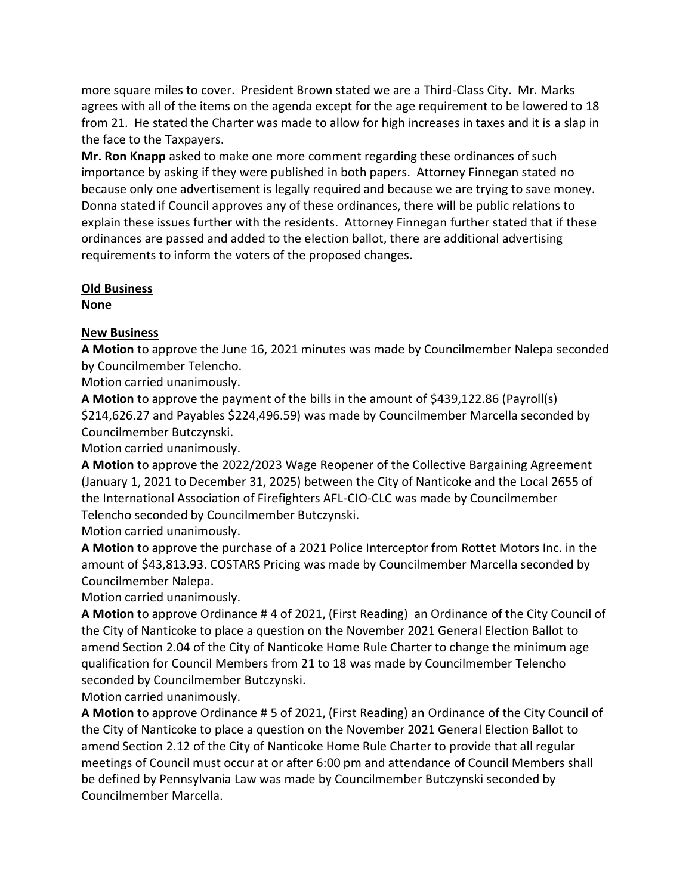more square miles to cover. President Brown stated we are a Third-Class City. Mr. Marks agrees with all of the items on the agenda except for the age requirement to be lowered to 18 from 21. He stated the Charter was made to allow for high increases in taxes and it is a slap in the face to the Taxpayers.

**Mr. Ron Knapp** asked to make one more comment regarding these ordinances of such importance by asking if they were published in both papers. Attorney Finnegan stated no because only one advertisement is legally required and because we are trying to save money. Donna stated if Council approves any of these ordinances, there will be public relations to explain these issues further with the residents. Attorney Finnegan further stated that if these ordinances are passed and added to the election ballot, there are additional advertising requirements to inform the voters of the proposed changes.

#### **Old Business**

**None**

# **New Business**

**A Motion** to approve the June 16, 2021 minutes was made by Councilmember Nalepa seconded by Councilmember Telencho.

Motion carried unanimously.

**A Motion** to approve the payment of the bills in the amount of \$439,122.86 (Payroll(s) \$214,626.27 and Payables \$224,496.59) was made by Councilmember Marcella seconded by Councilmember Butczynski.

Motion carried unanimously.

**A Motion** to approve the 2022/2023 Wage Reopener of the Collective Bargaining Agreement (January 1, 2021 to December 31, 2025) between the City of Nanticoke and the Local 2655 of the International Association of Firefighters AFL-CIO-CLC was made by Councilmember Telencho seconded by Councilmember Butczynski.

Motion carried unanimously.

**A Motion** to approve the purchase of a 2021 Police Interceptor from Rottet Motors Inc. in the amount of \$43,813.93. COSTARS Pricing was made by Councilmember Marcella seconded by Councilmember Nalepa.

Motion carried unanimously.

**A Motion** to approve Ordinance # 4 of 2021, (First Reading) an Ordinance of the City Council of the City of Nanticoke to place a question on the November 2021 General Election Ballot to amend Section 2.04 of the City of Nanticoke Home Rule Charter to change the minimum age qualification for Council Members from 21 to 18 was made by Councilmember Telencho seconded by Councilmember Butczynski.

Motion carried unanimously.

**A Motion** to approve Ordinance # 5 of 2021, (First Reading) an Ordinance of the City Council of the City of Nanticoke to place a question on the November 2021 General Election Ballot to amend Section 2.12 of the City of Nanticoke Home Rule Charter to provide that all regular meetings of Council must occur at or after 6:00 pm and attendance of Council Members shall be defined by Pennsylvania Law was made by Councilmember Butczynski seconded by Councilmember Marcella.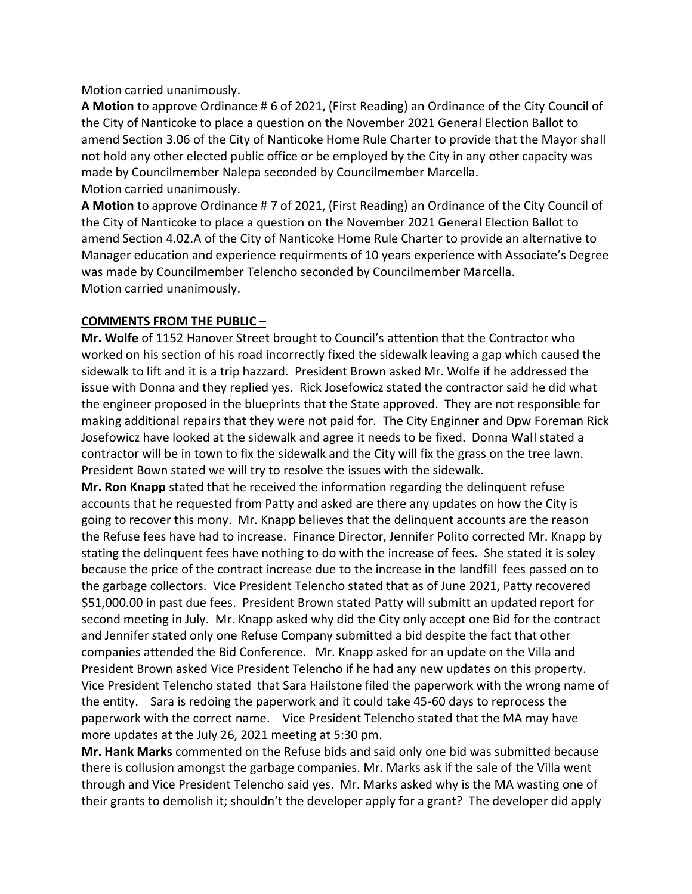Motion carried unanimously.

**A Motion** to approve Ordinance # 6 of 2021, (First Reading) an Ordinance of the City Council of the City of Nanticoke to place a question on the November 2021 General Election Ballot to amend Section 3.06 of the City of Nanticoke Home Rule Charter to provide that the Mayor shall not hold any other elected public office or be employed by the City in any other capacity was made by Councilmember Nalepa seconded by Councilmember Marcella. Motion carried unanimously.

**A Motion** to approve Ordinance # 7 of 2021, (First Reading) an Ordinance of the City Council of the City of Nanticoke to place a question on the November 2021 General Election Ballot to amend Section 4.02.A of the City of Nanticoke Home Rule Charter to provide an alternative to Manager education and experience requirments of 10 years experience with Associate's Degree was made by Councilmember Telencho seconded by Councilmember Marcella. Motion carried unanimously.

### **COMMENTS FROM THE PUBLIC –**

**Mr. Wolfe** of 1152 Hanover Street brought to Council's attention that the Contractor who worked on his section of his road incorrectly fixed the sidewalk leaving a gap which caused the sidewalk to lift and it is a trip hazzard. President Brown asked Mr. Wolfe if he addressed the issue with Donna and they replied yes. Rick Josefowicz stated the contractor said he did what the engineer proposed in the blueprints that the State approved. They are not responsible for making additional repairs that they were not paid for. The City Enginner and Dpw Foreman Rick Josefowicz have looked at the sidewalk and agree it needs to be fixed. Donna Wall stated a contractor will be in town to fix the sidewalk and the City will fix the grass on the tree lawn. President Bown stated we will try to resolve the issues with the sidewalk.

**Mr. Ron Knapp** stated that he received the information regarding the delinquent refuse accounts that he requested from Patty and asked are there any updates on how the City is going to recover this mony. Mr. Knapp believes that the delinquent accounts are the reason the Refuse fees have had to increase. Finance Director, Jennifer Polito corrected Mr. Knapp by stating the delinquent fees have nothing to do with the increase of fees. She stated it is soley because the price of the contract increase due to the increase in the landfill fees passed on to the garbage collectors. Vice President Telencho stated that as of June 2021, Patty recovered \$51,000.00 in past due fees. President Brown stated Patty will submitt an updated report for second meeting in July. Mr. Knapp asked why did the City only accept one Bid for the contract and Jennifer stated only one Refuse Company submitted a bid despite the fact that other companies attended the Bid Conference. Mr. Knapp asked for an update on the Villa and President Brown asked Vice President Telencho if he had any new updates on this property. Vice President Telencho stated that Sara Hailstone filed the paperwork with the wrong name of the entity. Sara is redoing the paperwork and it could take 45-60 days to reprocess the paperwork with the correct name. Vice President Telencho stated that the MA may have more updates at the July 26, 2021 meeting at 5:30 pm.

**Mr. Hank Marks** commented on the Refuse bids and said only one bid was submitted because there is collusion amongst the garbage companies. Mr. Marks ask if the sale of the Villa went through and Vice President Telencho said yes. Mr. Marks asked why is the MA wasting one of their grants to demolish it; shouldn't the developer apply for a grant? The developer did apply